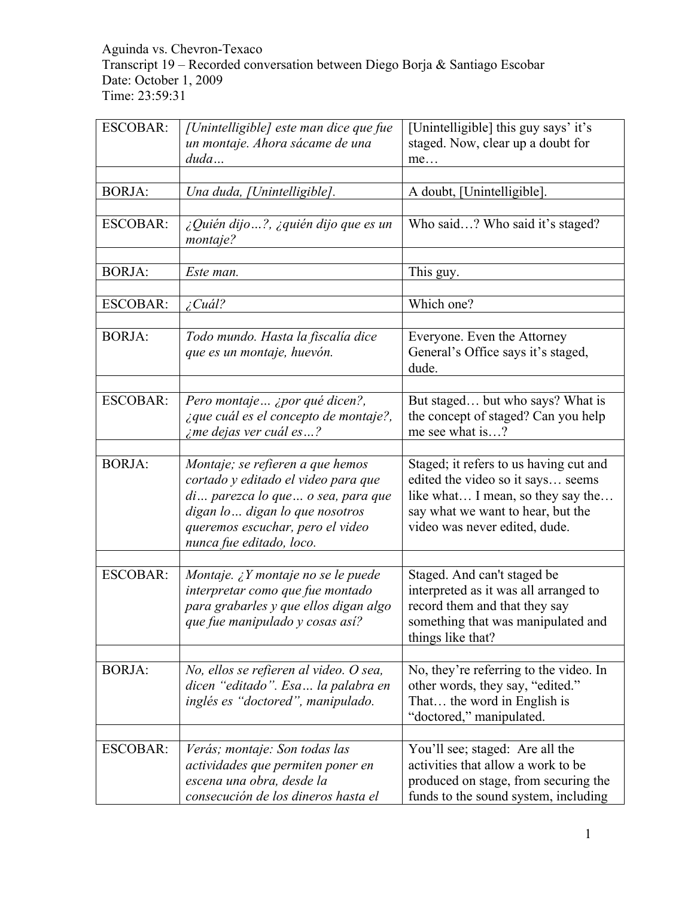# Aguinda vs. Chevron-Texaco Transcript 19 – Recorded conversation between Diego Borja & Santiago Escobar Date: October 1, 2009 Time: 23:59:31

| <b>ESCOBAR:</b> | [Unintelligible] este man dice que fue                                                                                                                                                                         | [Unintelligible] this guy says' it's                                                                                                                                                   |
|-----------------|----------------------------------------------------------------------------------------------------------------------------------------------------------------------------------------------------------------|----------------------------------------------------------------------------------------------------------------------------------------------------------------------------------------|
|                 | un montaje. Ahora sácame de una                                                                                                                                                                                | staged. Now, clear up a doubt for                                                                                                                                                      |
|                 | duda                                                                                                                                                                                                           | me                                                                                                                                                                                     |
| <b>BORJA:</b>   |                                                                                                                                                                                                                | A doubt, [Unintelligible].                                                                                                                                                             |
|                 | Una duda, [Unintelligible].                                                                                                                                                                                    |                                                                                                                                                                                        |
| <b>ESCOBAR:</b> | $\zeta$ Quién dijo ?, $\zeta$ quién dijo que es un<br>montaje?                                                                                                                                                 | Who said? Who said it's staged?                                                                                                                                                        |
| <b>BORJA:</b>   | Este man.                                                                                                                                                                                                      | This guy.                                                                                                                                                                              |
|                 |                                                                                                                                                                                                                |                                                                                                                                                                                        |
| <b>ESCOBAR:</b> | $i$ Cuál?                                                                                                                                                                                                      | Which one?                                                                                                                                                                             |
|                 |                                                                                                                                                                                                                |                                                                                                                                                                                        |
| <b>BORJA:</b>   | Todo mundo. Hasta la fiscalía dice<br>que es un montaje, huevón.                                                                                                                                               | Everyone. Even the Attorney<br>General's Office says it's staged,<br>dude.                                                                                                             |
| <b>ESCOBAR:</b> |                                                                                                                                                                                                                |                                                                                                                                                                                        |
|                 | Pero montaje  ¿por qué dicen?,<br>¿que cuál es el concepto de montaje?,<br><i>i</i> me dejas ver cuál es?                                                                                                      | But staged but who says? What is<br>the concept of staged? Can you help<br>me see what is?                                                                                             |
|                 |                                                                                                                                                                                                                |                                                                                                                                                                                        |
| <b>BORJA:</b>   | Montaje; se refieren a que hemos<br>cortado y editado el video para que<br>di parezca lo que o sea, para que<br>digan lo digan lo que nosotros<br>queremos escuchar, pero el video<br>nunca fue editado, loco. | Staged; it refers to us having cut and<br>edited the video so it says seems<br>like what I mean, so they say the<br>say what we want to hear, but the<br>video was never edited, dude. |
|                 |                                                                                                                                                                                                                |                                                                                                                                                                                        |
| <b>ESCOBAR:</b> | Montaje. ¿Y montaje no se le puede<br>interpretar como que fue montado<br>para grabarles y que ellos digan algo<br>que fue manipulado y cosas así?                                                             | Staged. And can't staged be<br>interpreted as it was all arranged to<br>record them and that they say<br>something that was manipulated and<br>things like that?                       |
|                 |                                                                                                                                                                                                                |                                                                                                                                                                                        |
| <b>BORJA:</b>   | No, ellos se refieren al video. O sea,<br>dicen "editado". Esa la palabra en<br>inglés es "doctored", manipulado.                                                                                              | No, they're referring to the video. In<br>other words, they say, "edited."<br>That the word in English is<br>"doctored," manipulated.                                                  |
|                 |                                                                                                                                                                                                                |                                                                                                                                                                                        |
| <b>ESCOBAR:</b> | Verás; montaje: Son todas las<br>actividades que permiten poner en<br>escena una obra, desde la<br>consecución de los dineros hasta el                                                                         | You'll see; staged: Are all the<br>activities that allow a work to be<br>produced on stage, from securing the<br>funds to the sound system, including                                  |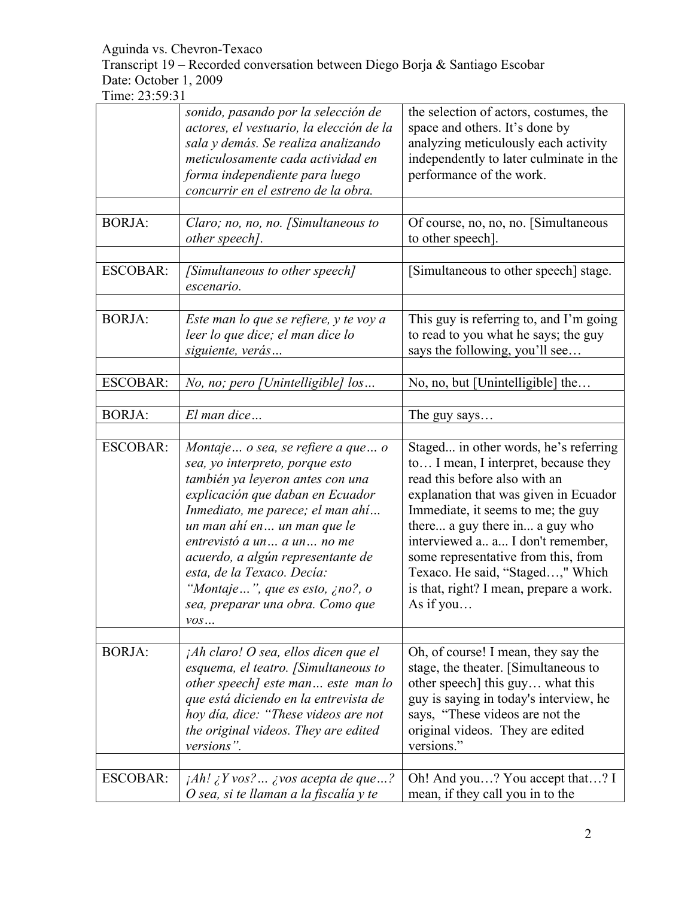Transcript 19 – Recorded conversation between Diego Borja & Santiago Escobar Date: October 1, 2009

|                 | sonido, pasando por la selección de<br>actores, el vestuario, la elección de la<br>sala y demás. Se realiza analizando<br>meticulosamente cada actividad en<br>forma independiente para luego<br>concurrir en el estreno de la obra.                                                                                                                                                                            | the selection of actors, costumes, the<br>space and others. It's done by<br>analyzing meticulously each activity<br>independently to later culminate in the<br>performance of the work.                                                                                                                                                                                                                 |
|-----------------|-----------------------------------------------------------------------------------------------------------------------------------------------------------------------------------------------------------------------------------------------------------------------------------------------------------------------------------------------------------------------------------------------------------------|---------------------------------------------------------------------------------------------------------------------------------------------------------------------------------------------------------------------------------------------------------------------------------------------------------------------------------------------------------------------------------------------------------|
| <b>BORJA:</b>   | Claro; no, no, no. [Simultaneous to<br>other speech].                                                                                                                                                                                                                                                                                                                                                           | Of course, no, no, no. [Simultaneous]<br>to other speech].                                                                                                                                                                                                                                                                                                                                              |
| <b>ESCOBAR:</b> | [Simultaneous to other speech]<br>escenario.                                                                                                                                                                                                                                                                                                                                                                    | [Simultaneous to other speech] stage.                                                                                                                                                                                                                                                                                                                                                                   |
| <b>BORJA:</b>   | Este man lo que se refiere, y te voy a<br>leer lo que dice; el man dice lo<br>siguiente, verás                                                                                                                                                                                                                                                                                                                  | This guy is referring to, and I'm going<br>to read to you what he says; the guy<br>says the following, you'll see                                                                                                                                                                                                                                                                                       |
| <b>ESCOBAR:</b> | No, no; pero [Unintelligible] los                                                                                                                                                                                                                                                                                                                                                                               | No, no, but [Unintelligible] the                                                                                                                                                                                                                                                                                                                                                                        |
| <b>BORJA:</b>   | El man dice                                                                                                                                                                                                                                                                                                                                                                                                     | The guy says                                                                                                                                                                                                                                                                                                                                                                                            |
| <b>ESCOBAR:</b> | Montaje o sea, se refiere a que o<br>sea, yo interpreto, porque esto<br>también ya leyeron antes con una<br>explicación que daban en Ecuador<br>Inmediato, me parece; el man ahí<br>un man ahí en un man que le<br>entrevistó a un a un no me<br>acuerdo, a algún representante de<br>esta, de la Texaco. Decía:<br>"Montaje", que es esto, ¿no?, o<br>sea, preparar una obra. Como que<br>$\mathit{VOS} \dots$ | Staged in other words, he's referring<br>to I mean, I interpret, because they<br>read this before also with an<br>explanation that was given in Ecuador<br>Immediate, it seems to me; the guy<br>there a guy there in a guy who<br>interviewed a a I don't remember,<br>some representative from this, from<br>Texaco. He said, "Staged," Which<br>is that, right? I mean, prepare a work.<br>As if you |
|                 |                                                                                                                                                                                                                                                                                                                                                                                                                 |                                                                                                                                                                                                                                                                                                                                                                                                         |
| <b>BORJA:</b>   | jAh claro! O sea, ellos dicen que el<br>esquema, el teatro. [Simultaneous to<br>other speech] este man este man lo<br>que está diciendo en la entrevista de<br>hoy día, dice: "These videos are not<br>the original videos. They are edited<br>versions".                                                                                                                                                       | Oh, of course! I mean, they say the<br>stage, the theater. [Simultaneous to<br>other speech] this guy what this<br>guy is saying in today's interview, he<br>says, "These videos are not the<br>original videos. They are edited<br>versions."                                                                                                                                                          |
| <b>ESCOBAR:</b> | $jAh!$ $j Y vos? $ $j vos$ <i>acepta de que</i> ?<br>O sea, si te llaman a la fiscalía y te                                                                                                                                                                                                                                                                                                                     | Oh! And you? You accept that? I<br>mean, if they call you in to the                                                                                                                                                                                                                                                                                                                                     |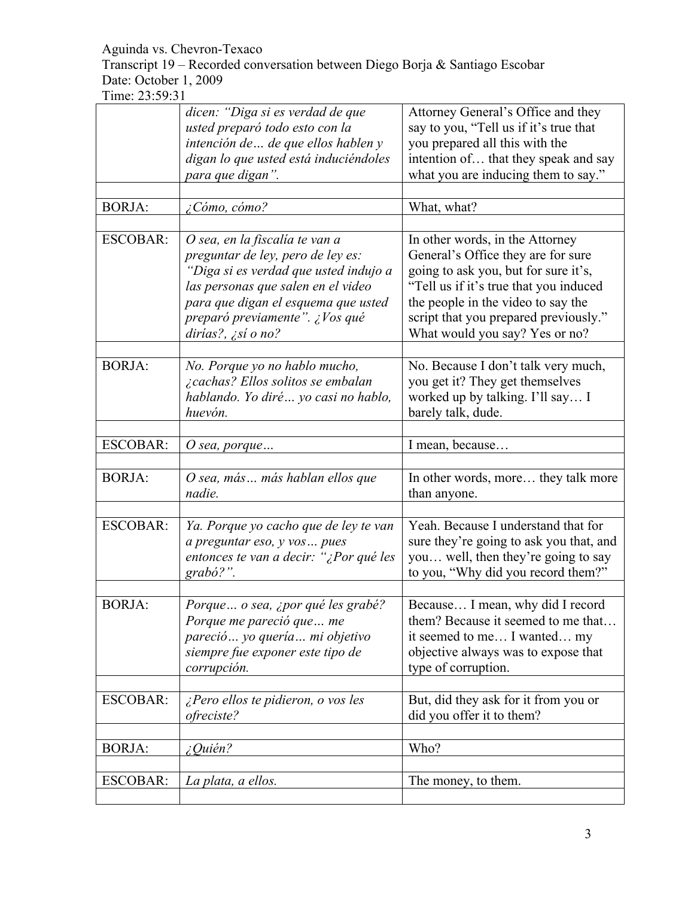Transcript 19 – Recorded conversation between Diego Borja & Santiago Escobar Date: October 1, 2009

|                 | dicen: "Diga si es verdad de que                                      | Attorney General's Office and they                                          |
|-----------------|-----------------------------------------------------------------------|-----------------------------------------------------------------------------|
|                 | usted preparó todo esto con la                                        | say to you, "Tell us if it's true that                                      |
|                 | intención de  de que ellos hablen y                                   | you prepared all this with the                                              |
|                 | digan lo que usted está induciéndoles                                 | intention of that they speak and say                                        |
|                 | para que digan".                                                      | what you are inducing them to say."                                         |
|                 |                                                                       |                                                                             |
| <b>BORJA:</b>   | ¿Cómo, cómo?                                                          | What, what?                                                                 |
|                 |                                                                       |                                                                             |
| <b>ESCOBAR:</b> | O sea, en la fiscalía te van a                                        | In other words, in the Attorney                                             |
|                 | preguntar de ley, pero de ley es:                                     | General's Office they are for sure                                          |
|                 | "Diga si es verdad que usted indujo a                                 | going to ask you, but for sure it's,                                        |
|                 | las personas que salen en el video                                    | "Tell us if it's true that you induced                                      |
|                 | para que digan el esquema que usted<br>preparó previamente". ¿Vos qué | the people in the video to say the<br>script that you prepared previously." |
|                 | dirías?, ¿sí o no?                                                    | What would you say? Yes or no?                                              |
|                 |                                                                       |                                                                             |
| <b>BORJA:</b>   | No. Porque yo no hablo mucho,                                         | No. Because I don't talk very much,                                         |
|                 | ¿cachas? Ellos solitos se embalan                                     | you get it? They get themselves                                             |
|                 | hablando. Yo diré  yo casi no hablo,                                  | worked up by talking. I'll say I                                            |
|                 | huevón.                                                               | barely talk, dude.                                                          |
|                 |                                                                       |                                                                             |
| <b>ESCOBAR:</b> | O sea, porque $\ldots$                                                | I mean, because                                                             |
|                 |                                                                       |                                                                             |
| <b>BORJA:</b>   | O sea, más más hablan ellos que                                       | In other words, more they talk more                                         |
|                 |                                                                       |                                                                             |
|                 | nadie.                                                                | than anyone.                                                                |
|                 |                                                                       |                                                                             |
| <b>ESCOBAR:</b> | Ya. Porque yo cacho que de ley te van                                 | Yeah. Because I understand that for                                         |
|                 |                                                                       | sure they're going to ask you that, and                                     |
|                 | a preguntar eso, y vos pues                                           | you well, then they're going to say                                         |
|                 | entonces te van a decir: "¿Por qué les<br>grabó?".                    | to you, "Why did you record them?"                                          |
|                 |                                                                       |                                                                             |
| <b>BORJA:</b>   | Porque o sea, ¿por qué les grabé?                                     | Because I mean, why did I record                                            |
|                 | Porque me pareció que  me                                             | them? Because it seemed to me that                                          |
|                 | pareció yo quería mi objetivo                                         | it seemed to me I wanted my                                                 |
|                 | siempre fue exponer este tipo de                                      | objective always was to expose that                                         |
|                 | corrupción.                                                           | type of corruption.                                                         |
|                 |                                                                       |                                                                             |
| <b>ESCOBAR:</b> | ¿Pero ellos te pidieron, o vos les                                    | But, did they ask for it from you or                                        |
|                 | ofreciste?                                                            | did you offer it to them?                                                   |
|                 |                                                                       |                                                                             |
| <b>BORJA:</b>   | ¿Quién?                                                               | Who?                                                                        |
|                 |                                                                       |                                                                             |
| <b>ESCOBAR:</b> | La plata, a ellos.                                                    | The money, to them.                                                         |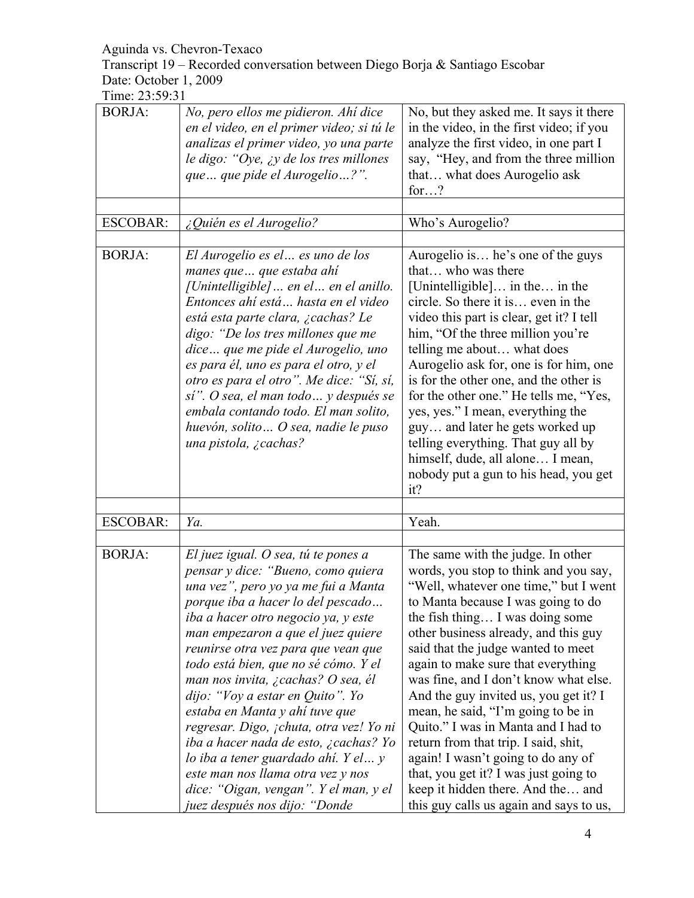Transcript 19 – Recorded conversation between Diego Borja & Santiago Escobar Date: October 1, 2009

| <b>BORJA:</b>   | No, pero ellos me pidieron. Ahí dice<br>en el video, en el primer video; si tú le<br>analizas el primer video, yo una parte<br>le digo: "Oye, $\chi y$ de los tres millones<br>que  que pide el Aurogelio ?".                                                                                                                                                                                                                                                                                                                                                                                                                                                           | No, but they asked me. It says it there<br>in the video, in the first video; if you<br>analyze the first video, in one part I<br>say, "Hey, and from the three million"<br>that what does Aurogelio ask<br>for?                                                                                                                                                                                                                                                                                                                                                                                                                                                                        |
|-----------------|-------------------------------------------------------------------------------------------------------------------------------------------------------------------------------------------------------------------------------------------------------------------------------------------------------------------------------------------------------------------------------------------------------------------------------------------------------------------------------------------------------------------------------------------------------------------------------------------------------------------------------------------------------------------------|----------------------------------------------------------------------------------------------------------------------------------------------------------------------------------------------------------------------------------------------------------------------------------------------------------------------------------------------------------------------------------------------------------------------------------------------------------------------------------------------------------------------------------------------------------------------------------------------------------------------------------------------------------------------------------------|
|                 |                                                                                                                                                                                                                                                                                                                                                                                                                                                                                                                                                                                                                                                                         |                                                                                                                                                                                                                                                                                                                                                                                                                                                                                                                                                                                                                                                                                        |
| <b>ESCOBAR:</b> | ¿Quién es el Aurogelio?                                                                                                                                                                                                                                                                                                                                                                                                                                                                                                                                                                                                                                                 | Who's Aurogelio?                                                                                                                                                                                                                                                                                                                                                                                                                                                                                                                                                                                                                                                                       |
| <b>BORJA:</b>   | El Aurogelio es el  es uno de los<br>manes que  que estaba ahí<br>[Unintelligible]  en el  en el anillo.<br>Entonces ahí está hasta en el video<br>está esta parte clara, ¿cachas? Le<br>digo: "De los tres millones que me<br>dice que me pide el Aurogelio, uno<br>es para él, uno es para el otro, y el<br>otro es para el otro". Me dice: "Sí, sí,<br>sí". O sea, el man todo  y después se<br>embala contando todo. El man solito,<br>huevón, solito  O sea, nadie le puso<br>una pistola, ¿cachas?                                                                                                                                                                | Aurogelio is he's one of the guys<br>that who was there<br>[Unintelligible] in the in the<br>circle. So there it is even in the<br>video this part is clear, get it? I tell<br>him, "Of the three million you're<br>telling me about what does<br>Aurogelio ask for, one is for him, one<br>is for the other one, and the other is<br>for the other one." He tells me, "Yes,<br>yes, yes." I mean, everything the<br>guy and later he gets worked up<br>telling everything. That guy all by<br>himself, dude, all alone I mean,<br>nobody put a gun to his head, you get<br>it?                                                                                                        |
|                 |                                                                                                                                                                                                                                                                                                                                                                                                                                                                                                                                                                                                                                                                         |                                                                                                                                                                                                                                                                                                                                                                                                                                                                                                                                                                                                                                                                                        |
| <b>ESCOBAR:</b> | Ya.                                                                                                                                                                                                                                                                                                                                                                                                                                                                                                                                                                                                                                                                     | Yeah.                                                                                                                                                                                                                                                                                                                                                                                                                                                                                                                                                                                                                                                                                  |
| <b>BORJA:</b>   | El juez igual. O sea, tú te pones a<br>pensar y dice: "Bueno, como quiera<br>una vez", pero yo ya me fui a Manta<br>porque iba a hacer lo del pescado<br>iba a hacer otro negocio ya, y este<br>man empezaron a que el juez quiere<br>reunirse otra vez para que vean que<br>todo está bien, que no sé cómo. Y el<br>man nos invita, ¿cachas? O sea, él<br>dijo: "Voy a estar en Quito". Yo<br>estaba en Manta y ahí tuve que<br>regresar. Digo, ¡chuta, otra vez! Yo ni<br>iba a hacer nada de esto, ¿cachas? Yo<br>lo iba a tener guardado ahí. Y el y<br>este man nos llama otra vez y nos<br>dice: "Oigan, vengan". Y el man, y el<br>juez después nos dijo: "Donde | The same with the judge. In other<br>words, you stop to think and you say,<br>"Well, whatever one time," but I went<br>to Manta because I was going to do<br>the fish thing I was doing some<br>other business already, and this guy<br>said that the judge wanted to meet<br>again to make sure that everything<br>was fine, and I don't know what else.<br>And the guy invited us, you get it? I<br>mean, he said, "I'm going to be in<br>Quito." I was in Manta and I had to<br>return from that trip. I said, shit,<br>again! I wasn't going to do any of<br>that, you get it? I was just going to<br>keep it hidden there. And the and<br>this guy calls us again and says to us, |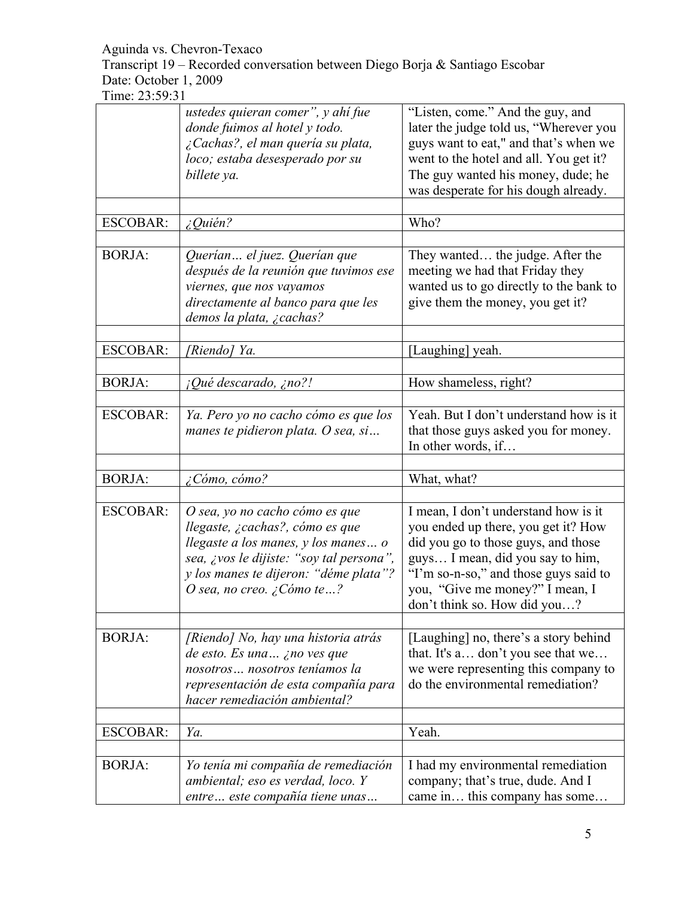Transcript 19 – Recorded conversation between Diego Borja & Santiago Escobar Date: October 1, 2009

|                 | ustedes quieran comer", y ahí fue<br>donde fuimos al hotel y todo.<br>¿Cachas?, el man quería su plata,<br>loco; estaba desesperado por su<br>billete ya.                                                                  | "Listen, come." And the guy, and<br>later the judge told us, "Wherever you<br>guys want to eat," and that's when we<br>went to the hotel and all. You get it?<br>The guy wanted his money, dude; he<br>was desperate for his dough already.                        |
|-----------------|----------------------------------------------------------------------------------------------------------------------------------------------------------------------------------------------------------------------------|--------------------------------------------------------------------------------------------------------------------------------------------------------------------------------------------------------------------------------------------------------------------|
| <b>ESCOBAR:</b> | $i$ Quién?                                                                                                                                                                                                                 | Who?                                                                                                                                                                                                                                                               |
| <b>BORJA:</b>   | Querían el juez. Querían que<br>después de la reunión que tuvimos ese<br>viernes, que nos vayamos<br>directamente al banco para que les<br>demos la plata, ¿cachas?                                                        | They wanted the judge. After the<br>meeting we had that Friday they<br>wanted us to go directly to the bank to<br>give them the money, you get it?                                                                                                                 |
| <b>ESCOBAR:</b> | [Riendo] Ya.                                                                                                                                                                                                               | [Laughing] yeah.                                                                                                                                                                                                                                                   |
|                 |                                                                                                                                                                                                                            |                                                                                                                                                                                                                                                                    |
| <b>BORJA:</b>   | $i$ Qué descarado, ¿no?!                                                                                                                                                                                                   | How shameless, right?                                                                                                                                                                                                                                              |
| <b>ESCOBAR:</b> | Ya. Pero yo no cacho cómo es que los<br>manes te pidieron plata. O sea, si                                                                                                                                                 | Yeah. But I don't understand how is it<br>that those guys asked you for money.<br>In other words, if                                                                                                                                                               |
| <b>BORJA:</b>   | $\zeta$ Cómo, cómo?                                                                                                                                                                                                        | What, what?                                                                                                                                                                                                                                                        |
|                 |                                                                                                                                                                                                                            |                                                                                                                                                                                                                                                                    |
| <b>ESCOBAR:</b> | O sea, yo no cacho cómo es que<br>llegaste, ¿cachas?, cómo es que<br>llegaste a los manes, y los manes o<br>sea, ¿vos le dijiste: "soy tal persona",<br>y los manes te dijeron: "déme plata"?<br>O sea, no creo. ¿Cómo te? | I mean, I don't understand how is it<br>you ended up there, you get it? How<br>did you go to those guys, and those<br>guys I mean, did you say to him,<br>"I'm so-n-so," and those guys said to<br>you, "Give me money?" I mean, I<br>don't think so. How did you? |
| <b>BORJA:</b>   | [Riendo] No, hay una historia atrás<br>de esto. Es una ¿no ves que<br>nosotros nosotros teníamos la<br>representación de esta compañía para<br>hacer remediación ambiental?                                                | [Laughing] no, there's a story behind<br>that. It's a don't you see that we<br>we were representing this company to<br>do the environmental remediation?                                                                                                           |
| <b>ESCOBAR:</b> | Ya.                                                                                                                                                                                                                        | Yeah.                                                                                                                                                                                                                                                              |
|                 |                                                                                                                                                                                                                            |                                                                                                                                                                                                                                                                    |
| <b>BORJA:</b>   | Yo tenía mi compañía de remediación<br>ambiental; eso es verdad, loco. Y<br>entre este compañía tiene unas                                                                                                                 | I had my environmental remediation<br>company; that's true, dude. And I<br>came in this company has some                                                                                                                                                           |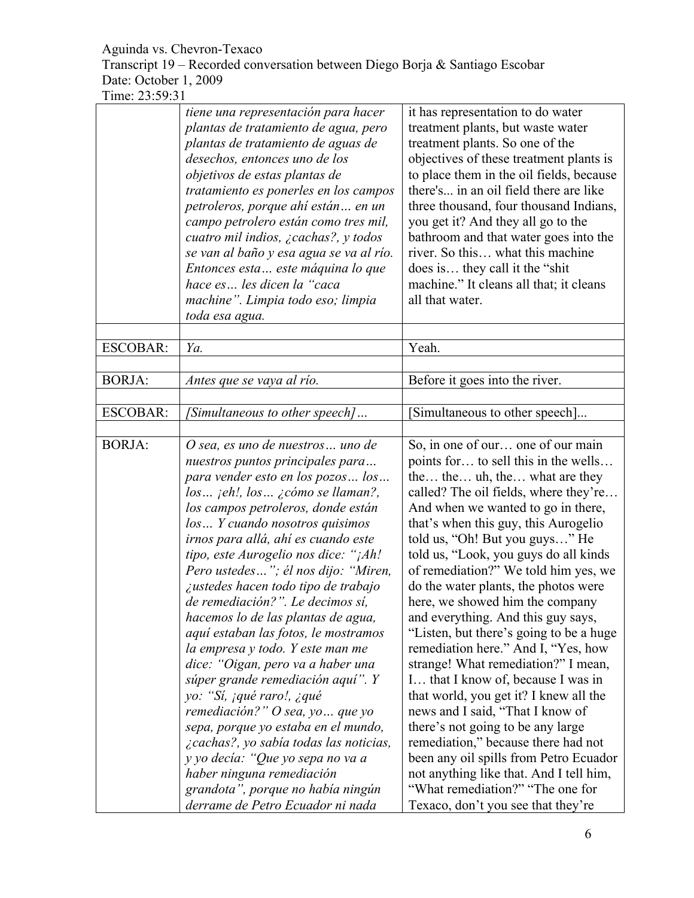Transcript 19 – Recorded conversation between Diego Borja & Santiago Escobar Date: October 1, 2009

|                 | tiene una representación para hacer<br>plantas de tratamiento de agua, pero<br>plantas de tratamiento de aguas de<br>desechos, entonces uno de los<br>objetivos de estas plantas de<br>tratamiento es ponerles en los campos<br>petroleros, porque ahí están en un<br>campo petrolero están como tres mil,<br>cuatro mil indios, $\zeta$ cachas?, y todos                                                                                                                                                                                                                                                                                                                                                                                                                                                                               | it has representation to do water<br>treatment plants, but waste water<br>treatment plants. So one of the<br>objectives of these treatment plants is<br>to place them in the oil fields, because<br>there's in an oil field there are like<br>three thousand, four thousand Indians,<br>you get it? And they all go to the<br>bathroom and that water goes into the                                                                                                                                                                                                                                                                                                                                                                                                                                                                                                                 |
|-----------------|-----------------------------------------------------------------------------------------------------------------------------------------------------------------------------------------------------------------------------------------------------------------------------------------------------------------------------------------------------------------------------------------------------------------------------------------------------------------------------------------------------------------------------------------------------------------------------------------------------------------------------------------------------------------------------------------------------------------------------------------------------------------------------------------------------------------------------------------|-------------------------------------------------------------------------------------------------------------------------------------------------------------------------------------------------------------------------------------------------------------------------------------------------------------------------------------------------------------------------------------------------------------------------------------------------------------------------------------------------------------------------------------------------------------------------------------------------------------------------------------------------------------------------------------------------------------------------------------------------------------------------------------------------------------------------------------------------------------------------------------|
|                 | se van al baño y esa agua se va al río.<br>Entonces esta este máquina lo que<br>hace es les dicen la "caca<br>machine". Limpia todo eso; limpia<br>toda esa agua.                                                                                                                                                                                                                                                                                                                                                                                                                                                                                                                                                                                                                                                                       | river. So this what this machine<br>does is they call it the "shit"<br>machine." It cleans all that; it cleans<br>all that water.                                                                                                                                                                                                                                                                                                                                                                                                                                                                                                                                                                                                                                                                                                                                                   |
| <b>ESCOBAR:</b> | Ya.                                                                                                                                                                                                                                                                                                                                                                                                                                                                                                                                                                                                                                                                                                                                                                                                                                     | Yeah.                                                                                                                                                                                                                                                                                                                                                                                                                                                                                                                                                                                                                                                                                                                                                                                                                                                                               |
| <b>BORJA:</b>   | Antes que se vaya al río.                                                                                                                                                                                                                                                                                                                                                                                                                                                                                                                                                                                                                                                                                                                                                                                                               | Before it goes into the river.                                                                                                                                                                                                                                                                                                                                                                                                                                                                                                                                                                                                                                                                                                                                                                                                                                                      |
| <b>ESCOBAR:</b> | [Simultaneous to other speech]                                                                                                                                                                                                                                                                                                                                                                                                                                                                                                                                                                                                                                                                                                                                                                                                          | Simultaneous to other speech]                                                                                                                                                                                                                                                                                                                                                                                                                                                                                                                                                                                                                                                                                                                                                                                                                                                       |
| <b>BORJA:</b>   | O sea, es uno de nuestros uno de<br>nuestros puntos principales para<br>para vender esto en los pozos los<br>$los$ jeh!, $los$ jcómo se llaman?,<br>los campos petroleros, donde están<br>los Y cuando nosotros quisimos<br>irnos para allá, ahí es cuando este<br>tipo, este Aurogelio nos dice: "¡Ah!<br>Pero ustedes"; él nos dijo: "Miren,<br>iustedes hacen todo tipo de trabajo<br>de remediación?". Le decimos sí,<br>hacemos lo de las plantas de agua,<br>aquí estaban las fotos, le mostramos<br>la empresa y todo. Y este man me<br>dice: "Oigan, pero va a haber una<br>súper grande remediación aquí". Y<br>yo: "Sí, jqué raro!, ¿qué<br>remediación?" O sea, yo  que yo<br>sepa, porque yo estaba en el mundo,<br>¿cachas?, yo sabía todas las noticias,<br>y yo decía: "Que yo sepa no va a<br>haber ninguna remediación | So, in one of our one of our main<br>points for to sell this in the wells<br>the the uh, the what are they<br>called? The oil fields, where they're<br>And when we wanted to go in there,<br>that's when this guy, this Aurogelio<br>told us, "Oh! But you guys" He<br>told us, "Look, you guys do all kinds<br>of remediation?" We told him yes, we<br>do the water plants, the photos were<br>here, we showed him the company<br>and everything. And this guy says,<br>"Listen, but there's going to be a huge<br>remediation here." And I, "Yes, how<br>strange! What remediation?" I mean,<br>I that I know of, because I was in<br>that world, you get it? I knew all the<br>news and I said, "That I know of<br>there's not going to be any large<br>remediation," because there had not<br>been any oil spills from Petro Ecuador<br>not anything like that. And I tell him, |
|                 | grandota", porque no había ningún<br>derrame de Petro Ecuador ni nada                                                                                                                                                                                                                                                                                                                                                                                                                                                                                                                                                                                                                                                                                                                                                                   | "What remediation?" "The one for<br>Texaco, don't you see that they're                                                                                                                                                                                                                                                                                                                                                                                                                                                                                                                                                                                                                                                                                                                                                                                                              |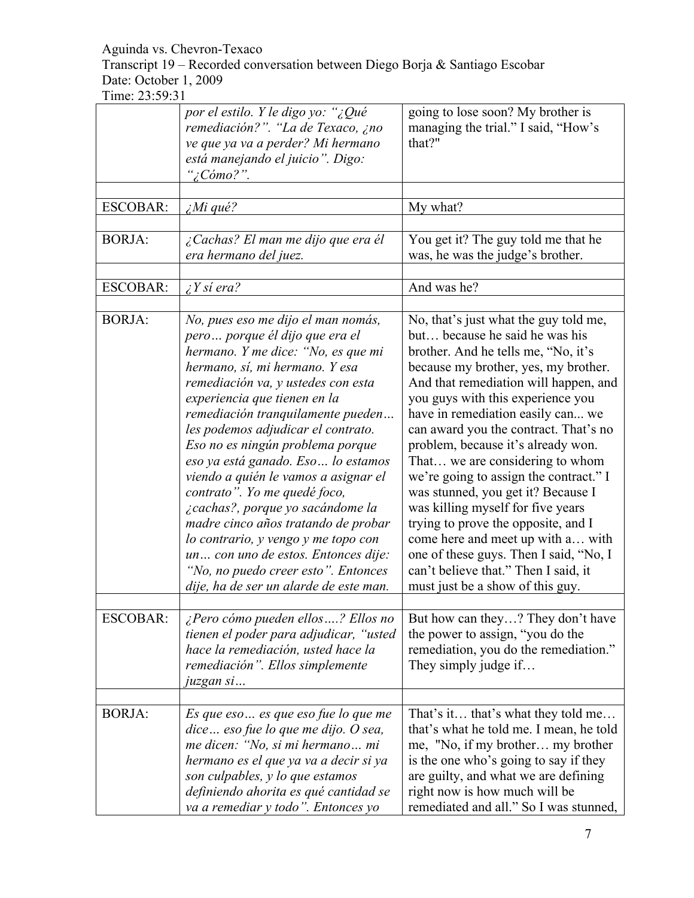Transcript 19 – Recorded conversation between Diego Borja & Santiago Escobar Date: October 1, 2009

|                 | por el estilo. Y le digo yo: "¿Qué<br>remediación?". "La de Texaco, ¿no<br>ve que ya va a perder? Mi hermano<br>está manejando el juicio". Digo:<br>"¿Cómo?".                                                                                                                                                                                                                                                                                                                                                                                                                                                                                                                              | going to lose soon? My brother is<br>managing the trial." I said, "How's<br>that?"                                                                                                                                                                                                                                                                                                                                                                                                                                                                                                                                                                                                                                 |
|-----------------|--------------------------------------------------------------------------------------------------------------------------------------------------------------------------------------------------------------------------------------------------------------------------------------------------------------------------------------------------------------------------------------------------------------------------------------------------------------------------------------------------------------------------------------------------------------------------------------------------------------------------------------------------------------------------------------------|--------------------------------------------------------------------------------------------------------------------------------------------------------------------------------------------------------------------------------------------------------------------------------------------------------------------------------------------------------------------------------------------------------------------------------------------------------------------------------------------------------------------------------------------------------------------------------------------------------------------------------------------------------------------------------------------------------------------|
| <b>ESCOBAR:</b> | $\lambda$ <i>Mi</i> qué?                                                                                                                                                                                                                                                                                                                                                                                                                                                                                                                                                                                                                                                                   | My what?                                                                                                                                                                                                                                                                                                                                                                                                                                                                                                                                                                                                                                                                                                           |
| <b>BORJA:</b>   | ¿Cachas? El man me dijo que era él<br>era hermano del juez.                                                                                                                                                                                                                                                                                                                                                                                                                                                                                                                                                                                                                                | You get it? The guy told me that he<br>was, he was the judge's brother.                                                                                                                                                                                                                                                                                                                                                                                                                                                                                                                                                                                                                                            |
| <b>ESCOBAR:</b> | $i$ Y si era?                                                                                                                                                                                                                                                                                                                                                                                                                                                                                                                                                                                                                                                                              | And was he?                                                                                                                                                                                                                                                                                                                                                                                                                                                                                                                                                                                                                                                                                                        |
| <b>BORJA:</b>   | No, pues eso me dijo el man nomás,<br>pero porque él dijo que era el<br>hermano. Y me dice: "No, es que mi<br>hermano, sí, mi hermano. Y esa<br>remediación va, y ustedes con esta<br>experiencia que tienen en la<br>remediación tranquilamente pueden<br>les podemos adjudicar el contrato.<br>Eso no es ningún problema porque<br>eso ya está ganado. Eso  lo estamos<br>viendo a quién le vamos a asignar el<br>contrato". Yo me quedé foco,<br>¿cachas?, porque yo sacándome la<br>madre cinco años tratando de probar<br>lo contrario, y vengo y me topo con<br>un con uno de estos. Entonces dije:<br>"No, no puedo creer esto". Entonces<br>dije, ha de ser un alarde de este man. | No, that's just what the guy told me,<br>but because he said he was his<br>brother. And he tells me, "No, it's<br>because my brother, yes, my brother.<br>And that remediation will happen, and<br>you guys with this experience you<br>have in remediation easily can we<br>can award you the contract. That's no<br>problem, because it's already won.<br>That we are considering to whom<br>we're going to assign the contract." I<br>was stunned, you get it? Because I<br>was killing myself for five years<br>trying to prove the opposite, and I<br>come here and meet up with a with<br>one of these guys. Then I said, "No, I<br>can't believe that." Then I said, it<br>must just be a show of this guy. |
| <b>ESCOBAR:</b> | ¿Pero cómo pueden ellos? Ellos no<br>tienen el poder para adjudicar, "usted<br>hace la remediación, usted hace la<br>remediación". Ellos simplemente<br>juzgan si                                                                                                                                                                                                                                                                                                                                                                                                                                                                                                                          | But how can they? They don't have<br>the power to assign, "you do the<br>remediation, you do the remediation."<br>They simply judge if                                                                                                                                                                                                                                                                                                                                                                                                                                                                                                                                                                             |
| <b>BORJA:</b>   | Es que eso  es que eso fue lo que me<br>dice eso fue lo que me dijo. O sea,<br>me dicen: "No, si mi hermano mi<br>hermano es el que ya va a decir si ya<br>son culpables, y lo que estamos<br>definiendo ahorita es qué cantidad se<br>va a remediar y todo". Entonces yo                                                                                                                                                                                                                                                                                                                                                                                                                  | That's it that's what they told me<br>that's what he told me. I mean, he told<br>me, "No, if my brother my brother<br>is the one who's going to say if they<br>are guilty, and what we are defining<br>right now is how much will be<br>remediated and all." So I was stunned,                                                                                                                                                                                                                                                                                                                                                                                                                                     |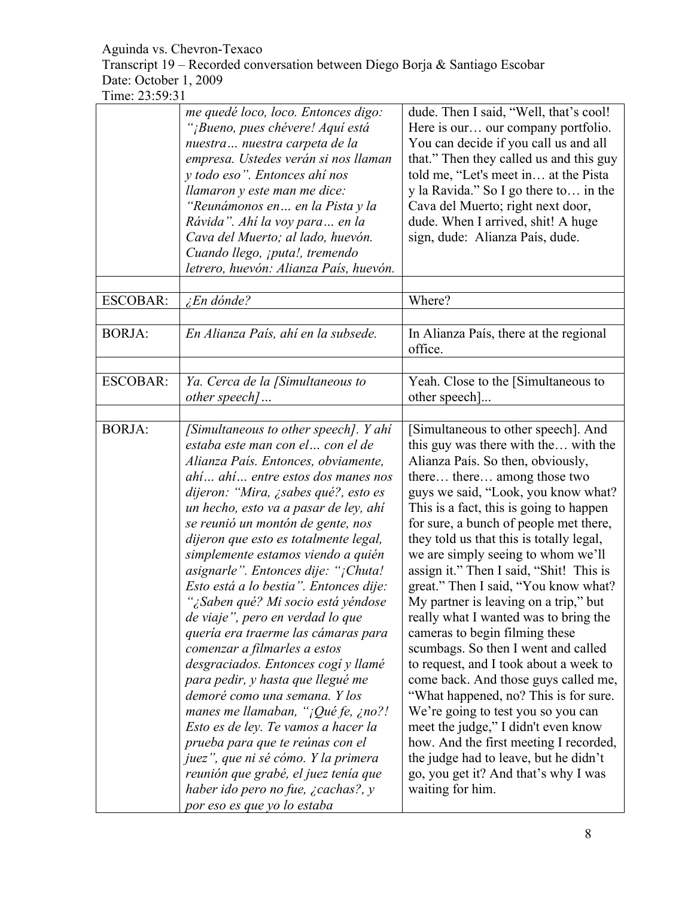Transcript 19 – Recorded conversation between Diego Borja & Santiago Escobar Date: October 1, 2009

|                 | me quedé loco, loco. Entonces digo:<br>"¡Bueno, pues chévere! Aquí está<br>nuestra nuestra carpeta de la<br>empresa. Ustedes verán si nos llaman<br>y todo eso". Entonces ahí nos<br>llamaron y este man me dice:<br>"Reunámonos en en la Pista y la<br>Rávida". Ahí la voy para en la<br>Cava del Muerto; al lado, huevón.<br>Cuando llego, ¡puta!, tremendo<br>letrero, huevón: Alianza País, huevón.                                                                                                                                                                                                                                                                                                                                                                                                                                                                                                                                                                               | dude. Then I said, "Well, that's cool!<br>Here is our our company portfolio.<br>You can decide if you call us and all<br>that." Then they called us and this guy<br>told me, "Let's meet in at the Pista<br>y la Ravida." So I go there to in the<br>Cava del Muerto; right next door,<br>dude. When I arrived, shit! A huge<br>sign, dude: Alianza País, dude.                                                                                                                                                                                                                                                                                                                                                                                                                                                                                                                                                                                                    |
|-----------------|---------------------------------------------------------------------------------------------------------------------------------------------------------------------------------------------------------------------------------------------------------------------------------------------------------------------------------------------------------------------------------------------------------------------------------------------------------------------------------------------------------------------------------------------------------------------------------------------------------------------------------------------------------------------------------------------------------------------------------------------------------------------------------------------------------------------------------------------------------------------------------------------------------------------------------------------------------------------------------------|--------------------------------------------------------------------------------------------------------------------------------------------------------------------------------------------------------------------------------------------------------------------------------------------------------------------------------------------------------------------------------------------------------------------------------------------------------------------------------------------------------------------------------------------------------------------------------------------------------------------------------------------------------------------------------------------------------------------------------------------------------------------------------------------------------------------------------------------------------------------------------------------------------------------------------------------------------------------|
| <b>ESCOBAR:</b> | <i>En dónde?</i>                                                                                                                                                                                                                                                                                                                                                                                                                                                                                                                                                                                                                                                                                                                                                                                                                                                                                                                                                                      | Where?                                                                                                                                                                                                                                                                                                                                                                                                                                                                                                                                                                                                                                                                                                                                                                                                                                                                                                                                                             |
| <b>BORJA:</b>   | En Alianza País, ahí en la subsede.                                                                                                                                                                                                                                                                                                                                                                                                                                                                                                                                                                                                                                                                                                                                                                                                                                                                                                                                                   | In Alianza País, there at the regional<br>office.                                                                                                                                                                                                                                                                                                                                                                                                                                                                                                                                                                                                                                                                                                                                                                                                                                                                                                                  |
|                 |                                                                                                                                                                                                                                                                                                                                                                                                                                                                                                                                                                                                                                                                                                                                                                                                                                                                                                                                                                                       |                                                                                                                                                                                                                                                                                                                                                                                                                                                                                                                                                                                                                                                                                                                                                                                                                                                                                                                                                                    |
| <b>ESCOBAR:</b> | Ya. Cerca de la [Simultaneous to<br>other speech]                                                                                                                                                                                                                                                                                                                                                                                                                                                                                                                                                                                                                                                                                                                                                                                                                                                                                                                                     | Yeah. Close to the [Simultaneous to<br>other speech                                                                                                                                                                                                                                                                                                                                                                                                                                                                                                                                                                                                                                                                                                                                                                                                                                                                                                                |
| <b>BORJA:</b>   | [Simultaneous to other speech]. Y ahí<br>estaba este man con el  con el de<br>Alianza País. Entonces, obviamente,<br>ahí ahí entre estos dos manes nos<br>dijeron: "Mira, ¿sabes qué?, esto es<br>un hecho, esto va a pasar de ley, ahí<br>se reunió un montón de gente, nos<br>dijeron que esto es totalmente legal,<br>simplemente estamos viendo a quién<br>asignarle". Entonces dije: "¡Chuta!<br>Esto está a lo bestia". Entonces dije:<br>"¿Saben qué? Mi socio está yéndose<br>de viaje", pero en verdad lo que<br>quería era traerme las cámaras para<br>comenzar a filmarles a estos<br>desgraciados. Entonces cogí y llamé<br>para pedir, y hasta que llegué me<br>demoré como una semana. Y los<br>manes me llamaban, "¡Qué fe, ¿no?!<br>Esto es de ley. Te vamos a hacer la<br>prueba para que te reúnas con el<br>juez", que ni sé cómo. Y la primera<br>reunión que grabé, el juez tenía que<br>haber ido pero no fue, $\chi$ cachas?, y<br>por eso es que yo lo estaba | [Simultaneous to other speech]. And<br>this guy was there with the with the<br>Alianza País. So then, obviously,<br>there there among those two<br>guys we said, "Look, you know what?<br>This is a fact, this is going to happen<br>for sure, a bunch of people met there,<br>they told us that this is totally legal,<br>we are simply seeing to whom we'll<br>assign it." Then I said, "Shit! This is<br>great." Then I said, "You know what?<br>My partner is leaving on a trip," but<br>really what I wanted was to bring the<br>cameras to begin filming these<br>scumbags. So then I went and called<br>to request, and I took about a week to<br>come back. And those guys called me,<br>"What happened, no? This is for sure.<br>We're going to test you so you can<br>meet the judge," I didn't even know<br>how. And the first meeting I recorded,<br>the judge had to leave, but he didn't<br>go, you get it? And that's why I was<br>waiting for him. |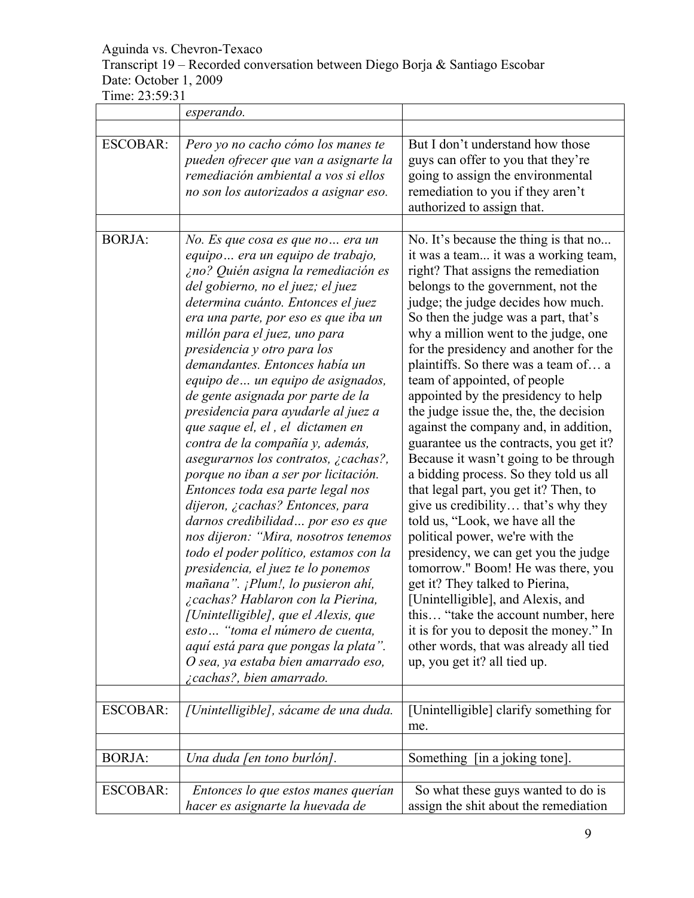# Aguinda vs. Chevron-Texaco Transcript 19 – Recorded conversation between Diego Borja & Santiago Escobar Date: October 1, 2009

|                 | esperando.                                                                                                                                                                                                                                                                                                                                                                                                                                                                                                                                                                                                                                                                                                                                                                                                                                                                                                                                                                                                                                                                                                        |                                                                                                                                                                                                                                                                                                                                                                                                                                                                                                                                                                                                                                                                                                                                                                                                                                                                                                                                                                                                                                                                                                                                    |
|-----------------|-------------------------------------------------------------------------------------------------------------------------------------------------------------------------------------------------------------------------------------------------------------------------------------------------------------------------------------------------------------------------------------------------------------------------------------------------------------------------------------------------------------------------------------------------------------------------------------------------------------------------------------------------------------------------------------------------------------------------------------------------------------------------------------------------------------------------------------------------------------------------------------------------------------------------------------------------------------------------------------------------------------------------------------------------------------------------------------------------------------------|------------------------------------------------------------------------------------------------------------------------------------------------------------------------------------------------------------------------------------------------------------------------------------------------------------------------------------------------------------------------------------------------------------------------------------------------------------------------------------------------------------------------------------------------------------------------------------------------------------------------------------------------------------------------------------------------------------------------------------------------------------------------------------------------------------------------------------------------------------------------------------------------------------------------------------------------------------------------------------------------------------------------------------------------------------------------------------------------------------------------------------|
|                 |                                                                                                                                                                                                                                                                                                                                                                                                                                                                                                                                                                                                                                                                                                                                                                                                                                                                                                                                                                                                                                                                                                                   |                                                                                                                                                                                                                                                                                                                                                                                                                                                                                                                                                                                                                                                                                                                                                                                                                                                                                                                                                                                                                                                                                                                                    |
| <b>ESCOBAR:</b> | Pero yo no cacho cómo los manes te<br>pueden ofrecer que van a asignarte la<br>remediación ambiental a vos si ellos<br>no son los autorizados a asignar eso.                                                                                                                                                                                                                                                                                                                                                                                                                                                                                                                                                                                                                                                                                                                                                                                                                                                                                                                                                      | But I don't understand how those<br>guys can offer to you that they're<br>going to assign the environmental<br>remediation to you if they aren't<br>authorized to assign that.                                                                                                                                                                                                                                                                                                                                                                                                                                                                                                                                                                                                                                                                                                                                                                                                                                                                                                                                                     |
| <b>BORJA:</b>   | No. Es que cosa es que no era un<br>equipo era un equipo de trabajo,<br>¿no? Quién asigna la remediación es<br>del gobierno, no el juez; el juez<br>determina cuánto. Entonces el juez<br>era una parte, por eso es que iba un<br>millón para el juez, uno para<br>presidencia y otro para los<br>demandantes. Entonces había un<br>equipo de  un equipo de asignados,<br>de gente asignada por parte de la<br>presidencia para ayudarle al juez a<br>que saque el, el, el dictamen en<br>contra de la compañía y, además,<br>asegurarnos los contratos, ¿cachas?,<br>porque no iban a ser por licitación.<br>Entonces toda esa parte legal nos<br>dijeron, ¿cachas? Entonces, para<br>darnos credibilidad por eso es que<br>nos dijeron: "Mira, nosotros tenemos<br>todo el poder político, estamos con la<br>presidencia, el juez te lo ponemos<br>mañana". ¡Plum!, lo pusieron ahí,<br>¿cachas? Hablaron con la Pierina,<br>[Unintelligible], que el Alexis, que<br>esto "toma el número de cuenta,<br>aquí está para que pongas la plata".<br>O sea, ya estaba bien amarrado eso,<br>¿cachas?, bien amarrado. | No. It's because the thing is that no<br>it was a team it was a working team,<br>right? That assigns the remediation<br>belongs to the government, not the<br>judge; the judge decides how much.<br>So then the judge was a part, that's<br>why a million went to the judge, one<br>for the presidency and another for the<br>plaintiffs. So there was a team of a<br>team of appointed, of people<br>appointed by the presidency to help<br>the judge issue the, the, the decision<br>against the company and, in addition,<br>guarantee us the contracts, you get it?<br>Because it wasn't going to be through<br>a bidding process. So they told us all<br>that legal part, you get it? Then, to<br>give us credibility that's why they<br>told us, "Look, we have all the<br>political power, we're with the<br>presidency, we can get you the judge<br>tomorrow." Boom! He was there, you<br>get it? They talked to Pierina,<br>[Unintelligible], and Alexis, and<br>this "take the account number, here<br>it is for you to deposit the money." In<br>other words, that was already all tied<br>up, you get it? all tied up. |
| <b>ESCOBAR:</b> | [Unintelligible], sácame de una duda.                                                                                                                                                                                                                                                                                                                                                                                                                                                                                                                                                                                                                                                                                                                                                                                                                                                                                                                                                                                                                                                                             | [Unintelligible] clarify something for<br>me.                                                                                                                                                                                                                                                                                                                                                                                                                                                                                                                                                                                                                                                                                                                                                                                                                                                                                                                                                                                                                                                                                      |
| <b>BORJA:</b>   | Una duda [en tono burlón].                                                                                                                                                                                                                                                                                                                                                                                                                                                                                                                                                                                                                                                                                                                                                                                                                                                                                                                                                                                                                                                                                        | [in a joking tone].<br>Something                                                                                                                                                                                                                                                                                                                                                                                                                                                                                                                                                                                                                                                                                                                                                                                                                                                                                                                                                                                                                                                                                                   |
| <b>ESCOBAR:</b> | Entonces lo que estos manes querían<br>hacer es asignarte la huevada de                                                                                                                                                                                                                                                                                                                                                                                                                                                                                                                                                                                                                                                                                                                                                                                                                                                                                                                                                                                                                                           | So what these guys wanted to do is<br>assign the shit about the remediation                                                                                                                                                                                                                                                                                                                                                                                                                                                                                                                                                                                                                                                                                                                                                                                                                                                                                                                                                                                                                                                        |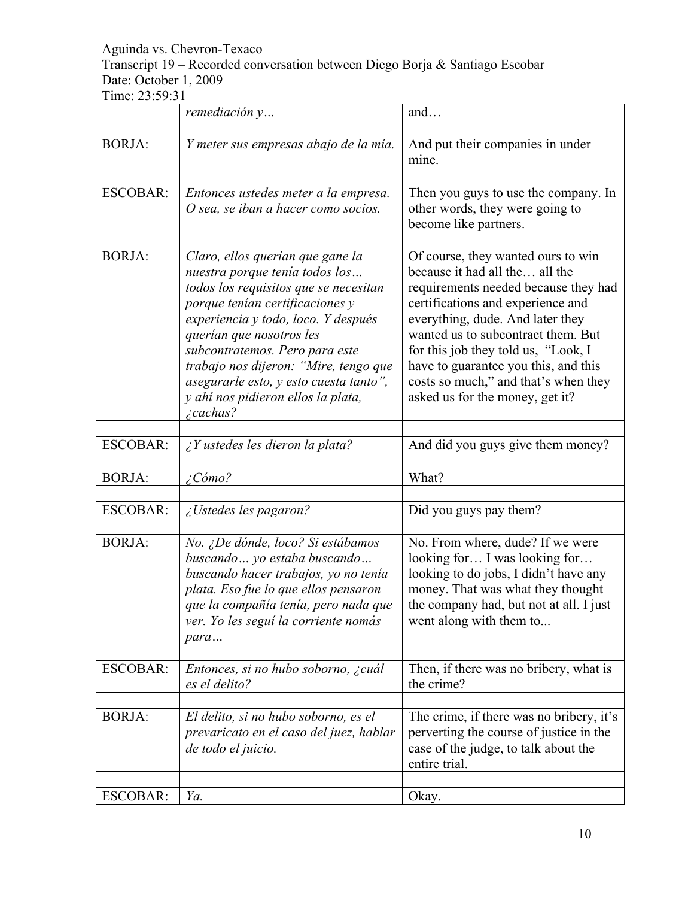Transcript 19 – Recorded conversation between Diego Borja & Santiago Escobar Date: October 1, 2009

|                 | remediación y                                                                                                                                                                                                                                                                                                                                                                                    | and                                                                                                                                                                                                                                                                                                                                                                                   |
|-----------------|--------------------------------------------------------------------------------------------------------------------------------------------------------------------------------------------------------------------------------------------------------------------------------------------------------------------------------------------------------------------------------------------------|---------------------------------------------------------------------------------------------------------------------------------------------------------------------------------------------------------------------------------------------------------------------------------------------------------------------------------------------------------------------------------------|
|                 |                                                                                                                                                                                                                                                                                                                                                                                                  |                                                                                                                                                                                                                                                                                                                                                                                       |
| <b>BORJA:</b>   | Y meter sus empresas abajo de la mía.                                                                                                                                                                                                                                                                                                                                                            | And put their companies in under<br>mine.                                                                                                                                                                                                                                                                                                                                             |
|                 |                                                                                                                                                                                                                                                                                                                                                                                                  |                                                                                                                                                                                                                                                                                                                                                                                       |
| <b>ESCOBAR:</b> | Entonces ustedes meter a la empresa.<br>O sea, se iban a hacer como socios.                                                                                                                                                                                                                                                                                                                      | Then you guys to use the company. In<br>other words, they were going to<br>become like partners.                                                                                                                                                                                                                                                                                      |
|                 |                                                                                                                                                                                                                                                                                                                                                                                                  |                                                                                                                                                                                                                                                                                                                                                                                       |
| <b>BORJA:</b>   | Claro, ellos querían que gane la<br>nuestra porque tenía todos los<br>todos los requisitos que se necesitan<br>porque tenían certificaciones y<br>experiencia y todo, loco. Y después<br>querían que nosotros les<br>subcontratemos. Pero para este<br>trabajo nos dijeron: "Mire, tengo que<br>asegurarle esto, y esto cuesta tanto",<br>y ahí nos pidieron ellos la plata,<br><i>i</i> cachas? | Of course, they wanted ours to win<br>because it had all the all the<br>requirements needed because they had<br>certifications and experience and<br>everything, dude. And later they<br>wanted us to subcontract them. But<br>for this job they told us, "Look, I<br>have to guarantee you this, and this<br>costs so much," and that's when they<br>asked us for the money, get it? |
| <b>ESCOBAR:</b> | $\lambda$ Y ustedes les dieron la plata?                                                                                                                                                                                                                                                                                                                                                         | And did you guys give them money?                                                                                                                                                                                                                                                                                                                                                     |
| <b>BORJA:</b>   | $\angle$ Cómo?                                                                                                                                                                                                                                                                                                                                                                                   | What?                                                                                                                                                                                                                                                                                                                                                                                 |
|                 |                                                                                                                                                                                                                                                                                                                                                                                                  |                                                                                                                                                                                                                                                                                                                                                                                       |
| <b>ESCOBAR:</b> | ¿Ustedes les pagaron?                                                                                                                                                                                                                                                                                                                                                                            | Did you guys pay them?                                                                                                                                                                                                                                                                                                                                                                |
|                 |                                                                                                                                                                                                                                                                                                                                                                                                  |                                                                                                                                                                                                                                                                                                                                                                                       |
| <b>BORJA:</b>   | No. ¿De dónde, loco? Si estábamos<br>buscando  yo estaba buscando<br>buscando hacer trabajos, yo no tenía<br>plata. Eso fue lo que ellos pensaron<br>que la compañía tenía, pero nada que<br>ver. Yo les seguí la corriente nomás<br>para                                                                                                                                                        | No. From where, dude? If we were<br>looking for I was looking for<br>looking to do jobs, I didn't have any<br>money. That was what they thought<br>the company had, but not at all. I just<br>went along with them to                                                                                                                                                                 |
|                 |                                                                                                                                                                                                                                                                                                                                                                                                  |                                                                                                                                                                                                                                                                                                                                                                                       |
| <b>ESCOBAR:</b> | Entonces, si no hubo soborno, ¿cuál<br>es el delito?                                                                                                                                                                                                                                                                                                                                             | Then, if there was no bribery, what is<br>the crime?                                                                                                                                                                                                                                                                                                                                  |
| <b>BORJA:</b>   | El delito, si no hubo soborno, es el<br>prevaricato en el caso del juez, hablar<br>de todo el juicio.                                                                                                                                                                                                                                                                                            | The crime, if there was no bribery, it's<br>perverting the course of justice in the<br>case of the judge, to talk about the<br>entire trial.                                                                                                                                                                                                                                          |
| <b>ESCOBAR:</b> | Ya.                                                                                                                                                                                                                                                                                                                                                                                              | Okay.                                                                                                                                                                                                                                                                                                                                                                                 |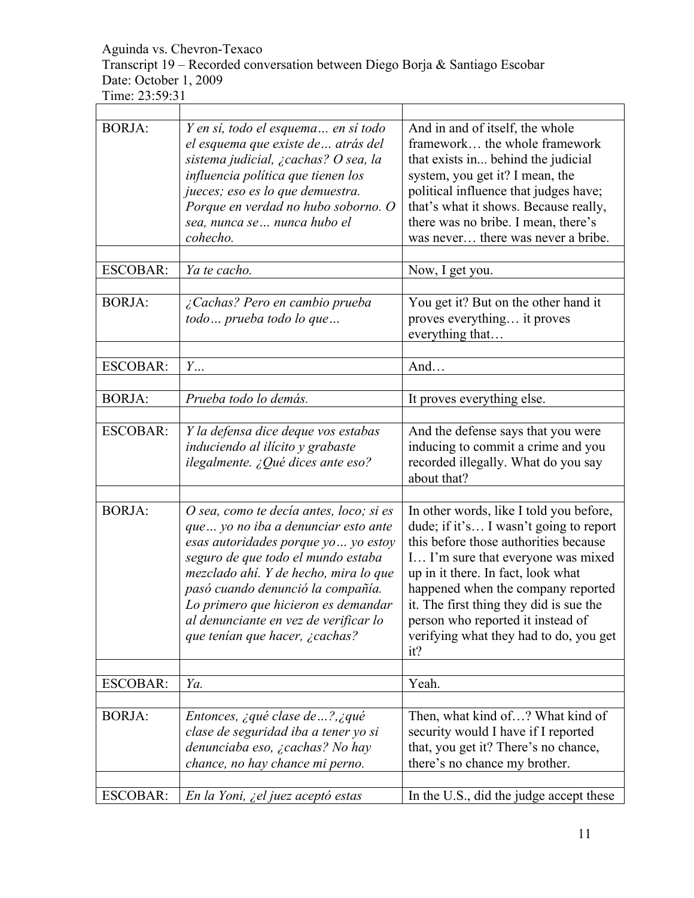Transcript 19 – Recorded conversation between Diego Borja & Santiago Escobar Date: October 1, 2009

| <b>BORJA:</b>   | Y en sí, todo el esquema en sí todo<br>el esquema que existe de  atrás del<br>sistema judicial, ¿cachas? O sea, la<br>influencia política que tienen los<br>jueces; eso es lo que demuestra.<br>Porque en verdad no hubo soborno. O<br>sea, nunca se nunca hubo el<br>cohecho.                                                                                | And in and of itself, the whole<br>framework the whole framework<br>that exists in behind the judicial<br>system, you get it? I mean, the<br>political influence that judges have;<br>that's what it shows. Because really,<br>there was no bribe. I mean, there's<br>was never there was never a bribe.                                                                      |
|-----------------|---------------------------------------------------------------------------------------------------------------------------------------------------------------------------------------------------------------------------------------------------------------------------------------------------------------------------------------------------------------|-------------------------------------------------------------------------------------------------------------------------------------------------------------------------------------------------------------------------------------------------------------------------------------------------------------------------------------------------------------------------------|
| <b>ESCOBAR:</b> | Ya te cacho.                                                                                                                                                                                                                                                                                                                                                  | Now, I get you.                                                                                                                                                                                                                                                                                                                                                               |
| <b>BORJA:</b>   | ¿Cachas? Pero en cambio prueba<br>todo prueba todo lo que                                                                                                                                                                                                                                                                                                     | You get it? But on the other hand it<br>proves everything it proves<br>everything that                                                                                                                                                                                                                                                                                        |
| <b>ESCOBAR:</b> | $Y_{\cdots}$                                                                                                                                                                                                                                                                                                                                                  | And                                                                                                                                                                                                                                                                                                                                                                           |
|                 |                                                                                                                                                                                                                                                                                                                                                               |                                                                                                                                                                                                                                                                                                                                                                               |
| <b>BORJA:</b>   | Prueba todo lo demás.                                                                                                                                                                                                                                                                                                                                         | It proves everything else.                                                                                                                                                                                                                                                                                                                                                    |
| <b>ESCOBAR:</b> | Y la defensa dice deque vos estabas<br>induciendo al ilícito y grabaste<br>ilegalmente. ¿Qué dices ante eso?                                                                                                                                                                                                                                                  | And the defense says that you were<br>inducing to commit a crime and you<br>recorded illegally. What do you say<br>about that?                                                                                                                                                                                                                                                |
| <b>BORJA:</b>   | O sea, como te decía antes, loco; si es<br>que  yo no iba a denunciar esto ante<br>esas autoridades porque yo  yo estoy<br>seguro de que todo el mundo estaba<br>mezclado ahí. Y de hecho, mira lo que<br>pasó cuando denunció la compañía.<br>Lo primero que hicieron es demandar<br>al denunciante en vez de verificar lo<br>que tenían que hacer, ¿cachas? | In other words, like I told you before,<br>dude; if it's I wasn't going to report<br>this before those authorities because<br>I I'm sure that everyone was mixed<br>up in it there. In fact, look what<br>happened when the company reported<br>it. The first thing they did is sue the<br>person who reported it instead of<br>verifying what they had to do, you get<br>it? |
| <b>ESCOBAR:</b> | Ya.                                                                                                                                                                                                                                                                                                                                                           | Yeah.                                                                                                                                                                                                                                                                                                                                                                         |
|                 |                                                                                                                                                                                                                                                                                                                                                               |                                                                                                                                                                                                                                                                                                                                                                               |
| <b>BORJA:</b>   | Entonces, ¿qué clase de ?, ¿qué<br>clase de seguridad iba a tener yo si<br>denunciaba eso, ¿cachas? No hay<br>chance, no hay chance mi perno.                                                                                                                                                                                                                 | Then, what kind of ? What kind of<br>security would I have if I reported<br>that, you get it? There's no chance,<br>there's no chance my brother.                                                                                                                                                                                                                             |
| <b>ESCOBAR:</b> | En la Yoni, ¿el juez aceptó estas                                                                                                                                                                                                                                                                                                                             | In the U.S., did the judge accept these                                                                                                                                                                                                                                                                                                                                       |